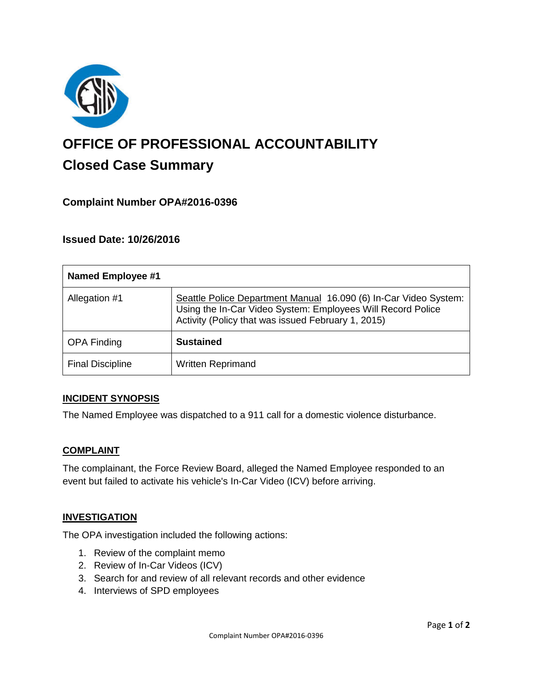

# **OFFICE OF PROFESSIONAL ACCOUNTABILITY Closed Case Summary**

# **Complaint Number OPA#2016-0396**

## **Issued Date: 10/26/2016**

| <b>Named Employee #1</b> |                                                                                                                                                                                       |
|--------------------------|---------------------------------------------------------------------------------------------------------------------------------------------------------------------------------------|
| Allegation #1            | Seattle Police Department Manual 16.090 (6) In-Car Video System:<br>Using the In-Car Video System: Employees Will Record Police<br>Activity (Policy that was issued February 1, 2015) |
| <b>OPA Finding</b>       | <b>Sustained</b>                                                                                                                                                                      |
| <b>Final Discipline</b>  | <b>Written Reprimand</b>                                                                                                                                                              |

## **INCIDENT SYNOPSIS**

The Named Employee was dispatched to a 911 call for a domestic violence disturbance.

#### **COMPLAINT**

The complainant, the Force Review Board, alleged the Named Employee responded to an event but failed to activate his vehicle's In-Car Video (ICV) before arriving.

#### **INVESTIGATION**

The OPA investigation included the following actions:

- 1. Review of the complaint memo
- 2. Review of In-Car Videos (ICV)
- 3. Search for and review of all relevant records and other evidence
- 4. Interviews of SPD employees